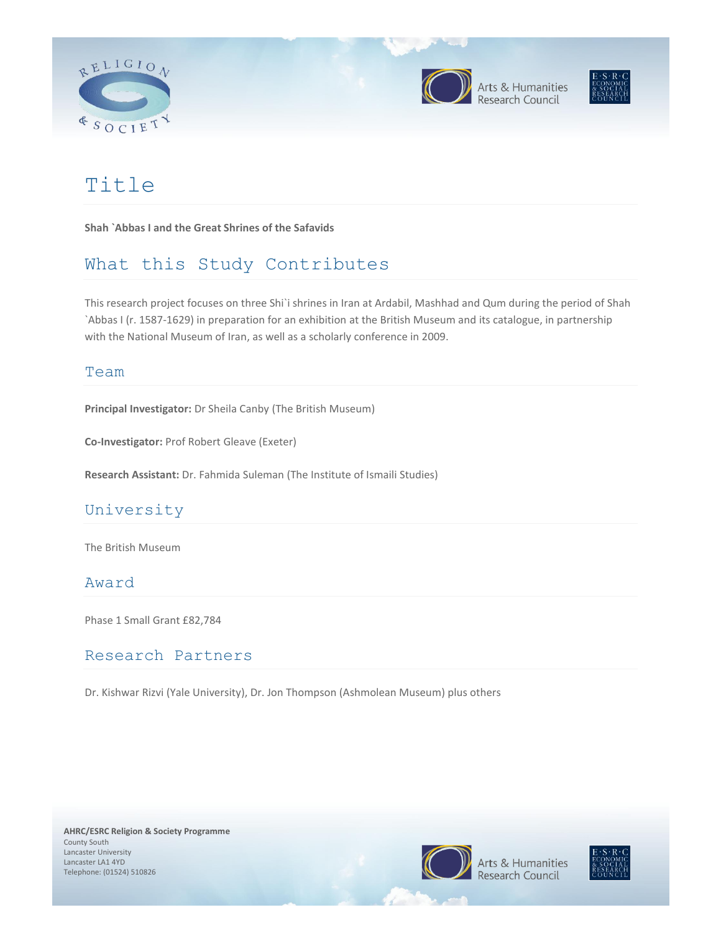







# Title

**Shah `Abbas I and the Great Shrines of the Safavids**

# What this Study Contributes

This research project focuses on three Shi`i shrines in Iran at Ardabil, Mashhad and Qum during the period of Shah `Abbas I (r. 1587-1629) in preparation for an exhibition at the British Museum and its catalogue, in partnership with the National Museum of Iran, as well as a scholarly conference in 2009.

#### Team

**Principal Investigator:** Dr Sheila Canby (The British Museum)

**Co-Investigator:** Prof Robert Gleave (Exeter)

**Research Assistant:** Dr. Fahmida Suleman (The Institute of Ismaili Studies)

# University

The British Museum

### Award

Phase 1 Small Grant £82,784

## Research Partners

Dr. Kishwar Rizvi (Yale University), Dr. Jon Thompson (Ashmolean Museum) plus others

**AHRC/ESRC Religion & Society Programme**  County South Lancaster University Lancaster LA1 4YD Telephone: (01524) 510826



Arts & Humanities esearch Council

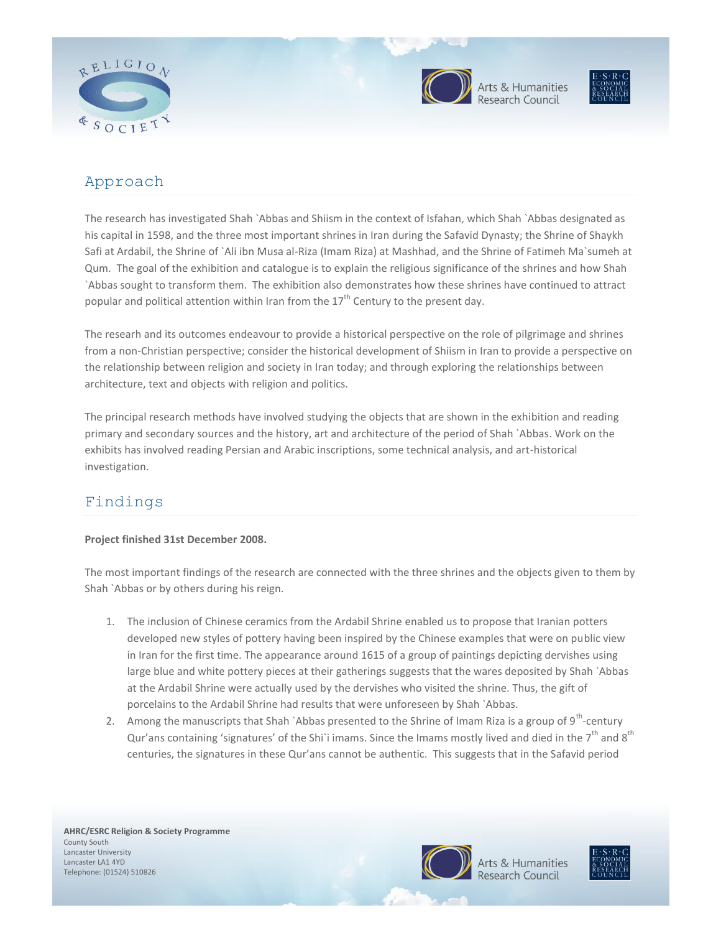



Arts & Humanities<br>Research Council



# Approach

The research has investigated Shah `Abbas and Shiism in the context of Isfahan, which Shah `Abbas designated as his capital in 1598, and the three most important shrines in Iran during the Safavid Dynasty; the Shrine of Shaykh Safi at Ardabil, the Shrine of `Ali ibn Musa al-Riza (Imam Riza) at Mashhad, and the Shrine of Fatimeh Ma`sumeh at Qum. The goal of the exhibition and catalogue is to explain the religious significance of the shrines and how Shah `Abbas sought to transform them. The exhibition also demonstrates how these shrines have continued to attract popular and political attention within Iran from the  $17<sup>th</sup>$  Century to the present day.

The researh and its outcomes endeavour to provide a historical perspective on the role of pilgrimage and shrines from a non-Christian perspective; consider the historical development of Shiism in Iran to provide a perspective on the relationship between religion and society in Iran today; and through exploring the relationships between architecture, text and objects with religion and politics.

The principal research methods have involved studying the objects that are shown in the exhibition and reading primary and secondary sources and the history, art and architecture of the period of Shah `Abbas. Work on the exhibits has involved reading Persian and Arabic inscriptions, some technical analysis, and art-historical investigation.

# Findings

#### **Project finished 31st December 2008.**

The most important findings of the research are connected with the three shrines and the objects given to them by Shah `Abbas or by others during his reign.

- 1. The inclusion of Chinese ceramics from the Ardabil Shrine enabled us to propose that Iranian potters developed new styles of pottery having been inspired by the Chinese examples that were on public view in Iran for the first time. The appearance around 1615 of a group of paintings depicting dervishes using large blue and white pottery pieces at their gatherings suggests that the wares deposited by Shah `Abbas at the Ardabil Shrine were actually used by the dervishes who visited the shrine. Thus, the gift of porcelains to the Ardabil Shrine had results that were unforeseen by Shah `Abbas.
- 2. Among the manuscripts that Shah `Abbas presented to the Shrine of Imam Riza is a group of 9<sup>th</sup>-century Qur'ans containing 'signatures' of the Shi`i imams. Since the Imams mostly lived and died in the  $7^{th}$  and  $8^{th}$ centuries, the signatures in these Qur'ans cannot be authentic. This suggests that in the Safavid period



Arts & Humanities

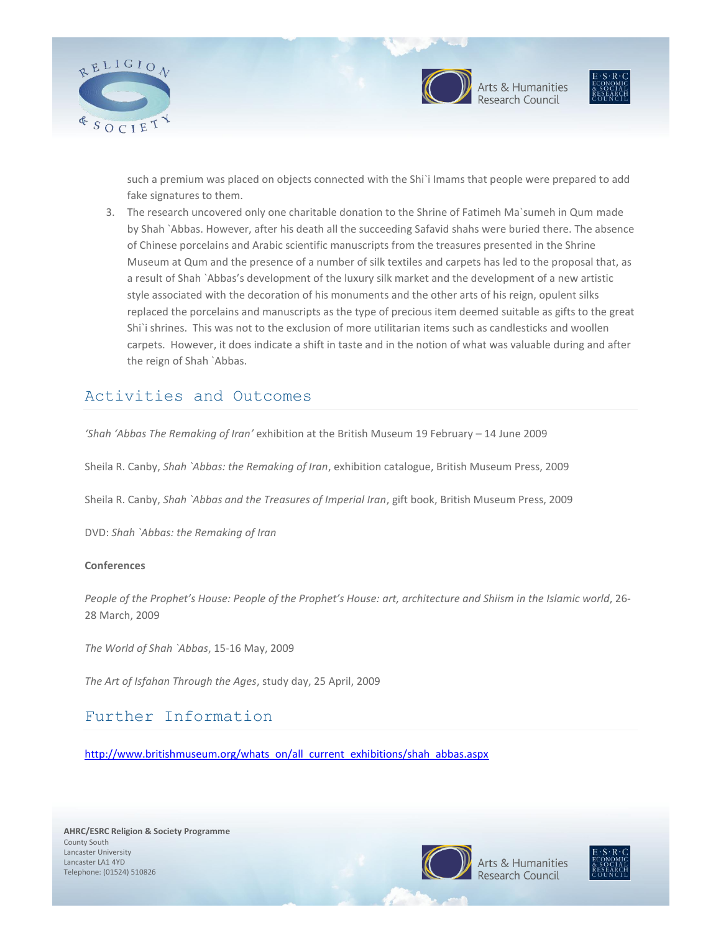



Arts & Humanities



such a premium was placed on objects connected with the Shi`i Imams that people were prepared to add fake signatures to them.

3. The research uncovered only one charitable donation to the Shrine of Fatimeh Ma`sumeh in Qum made by Shah `Abbas. However, after his death all the succeeding Safavid shahs were buried there. The absence of Chinese porcelains and Arabic scientific manuscripts from the treasures presented in the Shrine Museum at Qum and the presence of a number of silk textiles and carpets has led to the proposal that, as a result of Shah `Abbas's development of the luxury silk market and the development of a new artistic style associated with the decoration of his monuments and the other arts of his reign, opulent silks replaced the porcelains and manuscripts as the type of precious item deemed suitable as gifts to the great Shi`i shrines. This was not to the exclusion of more utilitarian items such as candlesticks and woollen carpets. However, it does indicate a shift in taste and in the notion of what was valuable during and after the reign of Shah `Abbas.

### Activities and Outcomes

*'Shah 'Abbas The Remaking of Iran'* exhibition at the British Museum 19 February – 14 June 2009

Sheila R. Canby, *Shah `Abbas: the Remaking of Iran*, exhibition catalogue, British Museum Press, 2009

Sheila R. Canby, *Shah `Abbas and the Treasures of Imperial Iran*, gift book, British Museum Press, 2009

DVD: *Shah `Abbas: the Remaking of Iran*

#### **Conferences**

*People of the Prophet's House: People of the Prophet's House: art, architecture and Shiism in the Islamic world*, 26- 28 March, 2009

*The World of Shah `Abbas*, 15-16 May, 2009

*The Art of Isfahan Through the Ages*, study day, 25 April, 2009

### Further Information

[http://www.britishmuseum.org/whats\\_on/all\\_current\\_exhibitions/shah\\_abbas.aspx](http://www.britishmuseum.org/whats_on/all_current_exhibitions/shah_abbas.aspx)



Arts & Humanities